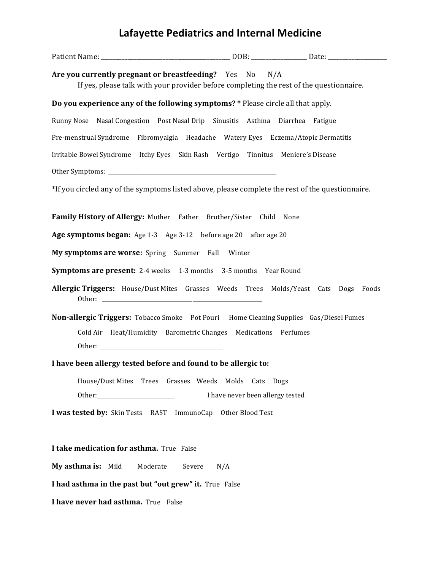## **Lafayette Pediatrics and Internal Medicine**

| Are you currently pregnant or breastfeeding? Yes No<br>If yes, please talk with your provider before completing the rest of the questionnaire. | N/A                              |  |  |
|------------------------------------------------------------------------------------------------------------------------------------------------|----------------------------------|--|--|
| Do you experience any of the following symptoms? * Please circle all that apply.                                                               |                                  |  |  |
| Runny Nose Nasal Congestion Post Nasal Drip Sinusitis Asthma Diarrhea Fatigue                                                                  |                                  |  |  |
| Pre-menstrual Syndrome Fibromyalgia Headache Watery Eyes Eczema/Atopic Dermatitis                                                              |                                  |  |  |
| Irritable Bowel Syndrome Itchy Eyes Skin Rash Vertigo Tinnitus Meniere's Disease                                                               |                                  |  |  |
|                                                                                                                                                |                                  |  |  |
| *If you circled any of the symptoms listed above, please complete the rest of the questionnaire.                                               |                                  |  |  |
|                                                                                                                                                |                                  |  |  |
| Family History of Allergy: Mother Father Brother/Sister Child None                                                                             |                                  |  |  |
| Age symptoms began: Age 1-3 Age 3-12 before age 20 after age 20                                                                                |                                  |  |  |
| My symptoms are worse: Spring Summer Fall Winter                                                                                               |                                  |  |  |
| <b>Symptoms are present:</b> 2-4 weeks 1-3 months 3-5 months Year Round                                                                        |                                  |  |  |
| Allergic Triggers: House/Dust Mites Grasses Weeds Trees Molds/Yeast Cats Dogs Foods                                                            |                                  |  |  |
| <b>Non-allergic Triggers:</b> Tobacco Smoke Pot Pouri Home Cleaning Supplies Gas/Diesel Fumes                                                  |                                  |  |  |
| Cold Air Heat/Humidity Barometric Changes Medications Perfumes                                                                                 |                                  |  |  |
|                                                                                                                                                |                                  |  |  |
| I have been allergy tested before and found to be allergic to:                                                                                 |                                  |  |  |
| House/Dust Mites Trees Grasses Weeds Molds Cats Dogs                                                                                           |                                  |  |  |
|                                                                                                                                                | I have never been allergy tested |  |  |
| <b>I was tested by:</b> Skin Tests RAST ImmunoCap<br>Other Blood Test                                                                          |                                  |  |  |
|                                                                                                                                                |                                  |  |  |
| I take medication for asthma. True False                                                                                                       |                                  |  |  |
| My asthma is:<br>Mild<br>Moderate<br>Severe<br>N/A                                                                                             |                                  |  |  |
| I had asthma in the past but "out grew" it. True False                                                                                         |                                  |  |  |

**I have never had asthma.** True False